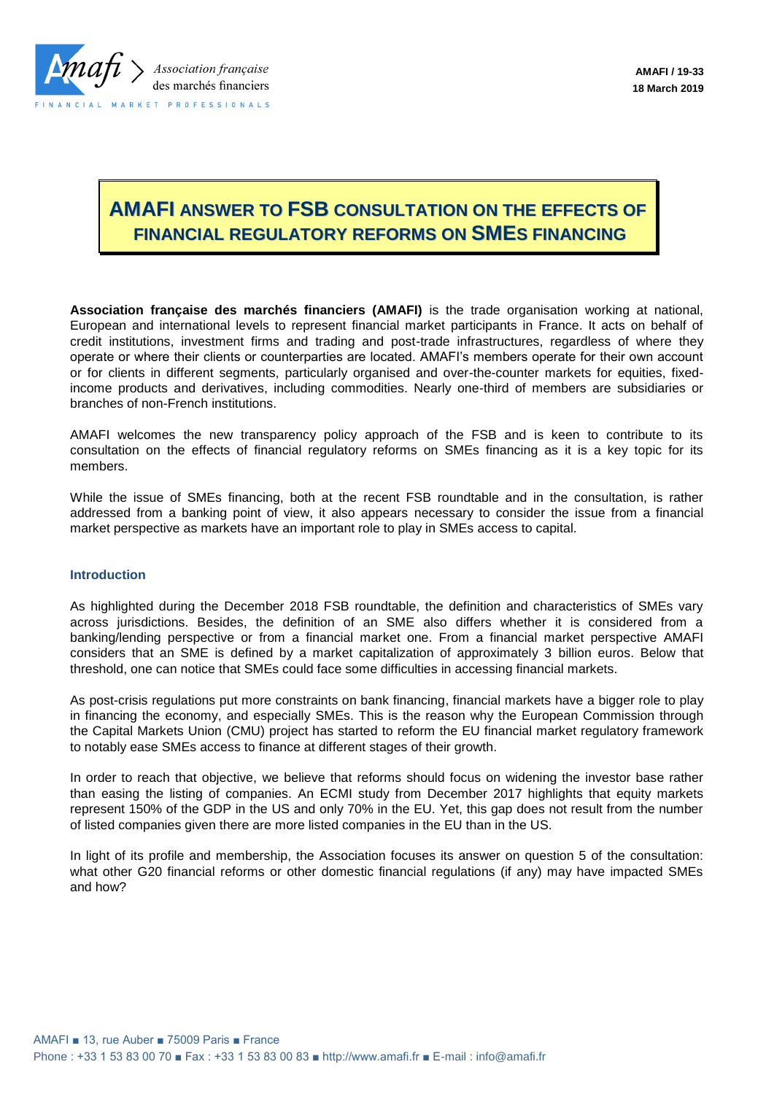

## **AMAFI ANSWER TO FSB CONSULTATION ON THE EFFECTS OF FINANCIAL REGULATORY REFORMS ON SMES FINANCING**

**Association française des marchés financiers (AMAFI)** is the trade organisation working at national, European and international levels to represent financial market participants in France. It acts on behalf of credit institutions, investment firms and trading and post-trade infrastructures, regardless of where they operate or where their clients or counterparties are located. AMAFI's members operate for their own account or for clients in different segments, particularly organised and over-the-counter markets for equities, fixedincome products and derivatives, including commodities. Nearly one-third of members are subsidiaries or branches of non-French institutions.

AMAFI welcomes the new transparency policy approach of the FSB and is keen to contribute to its consultation on the effects of financial regulatory reforms on SMEs financing as it is a key topic for its members.

While the issue of SMEs financing, both at the recent FSB roundtable and in the consultation, is rather addressed from a banking point of view, it also appears necessary to consider the issue from a financial market perspective as markets have an important role to play in SMEs access to capital.

## **Introduction**

As highlighted during the December 2018 FSB roundtable, the definition and characteristics of SMEs vary across jurisdictions. Besides, the definition of an SME also differs whether it is considered from a banking/lending perspective or from a financial market one. From a financial market perspective AMAFI considers that an SME is defined by a market capitalization of approximately 3 billion euros. Below that threshold, one can notice that SMEs could face some difficulties in accessing financial markets.

As post-crisis regulations put more constraints on bank financing, financial markets have a bigger role to play in financing the economy, and especially SMEs. This is the reason why the European Commission through the Capital Markets Union (CMU) project has started to reform the EU financial market regulatory framework to notably ease SMEs access to finance at different stages of their growth.

In order to reach that objective, we believe that reforms should focus on widening the investor base rather than easing the listing of companies. An ECMI study from December 2017 highlights that equity markets represent 150% of the GDP in the US and only 70% in the EU. Yet, this gap does not result from the number of listed companies given there are more listed companies in the EU than in the US.

In light of its profile and membership, the Association focuses its answer on question 5 of the consultation: what other G20 financial reforms or other domestic financial regulations (if any) may have impacted SMEs and how?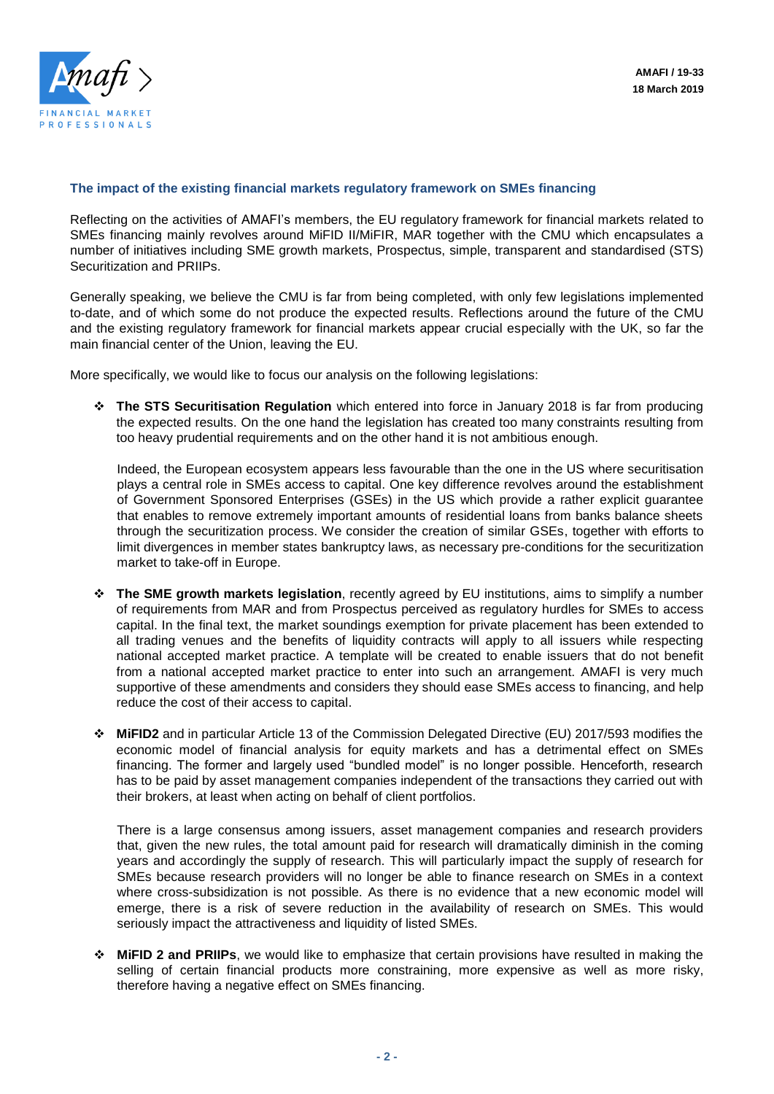

## **The impact of the existing financial markets regulatory framework on SMEs financing**

Reflecting on the activities of AMAFI's members, the EU regulatory framework for financial markets related to SMEs financing mainly revolves around MiFID II/MiFIR, MAR together with the CMU which encapsulates a number of initiatives including SME growth markets, Prospectus, simple, transparent and standardised (STS) Securitization and PRIIPs.

Generally speaking, we believe the CMU is far from being completed, with only few legislations implemented to-date, and of which some do not produce the expected results. Reflections around the future of the CMU and the existing regulatory framework for financial markets appear crucial especially with the UK, so far the main financial center of the Union, leaving the EU.

More specifically, we would like to focus our analysis on the following legislations:

 **The STS Securitisation Regulation** which entered into force in January 2018 is far from producing the expected results. On the one hand the legislation has created too many constraints resulting from too heavy prudential requirements and on the other hand it is not ambitious enough.

Indeed, the European ecosystem appears less favourable than the one in the US where securitisation plays a central role in SMEs access to capital. One key difference revolves around the establishment of Government Sponsored Enterprises (GSEs) in the US which provide a rather explicit guarantee that enables to remove extremely important amounts of residential loans from banks balance sheets through the securitization process. We consider the creation of similar GSEs, together with efforts to limit divergences in member states bankruptcy laws, as necessary pre-conditions for the securitization market to take-off in Europe.

- **The SME growth markets legislation**, recently agreed by EU institutions, aims to simplify a number of requirements from MAR and from Prospectus perceived as regulatory hurdles for SMEs to access capital. In the final text, the market soundings exemption for private placement has been extended to all trading venues and the benefits of liquidity contracts will apply to all issuers while respecting national accepted market practice. A template will be created to enable issuers that do not benefit from a national accepted market practice to enter into such an arrangement. AMAFI is very much supportive of these amendments and considers they should ease SMEs access to financing, and help reduce the cost of their access to capital.
- **MiFID2** and in particular Article 13 of the Commission Delegated Directive (EU) 2017/593 modifies the economic model of financial analysis for equity markets and has a detrimental effect on SMEs financing. The former and largely used "bundled model" is no longer possible. Henceforth, research has to be paid by asset management companies independent of the transactions they carried out with their brokers, at least when acting on behalf of client portfolios.

There is a large consensus among issuers, asset management companies and research providers that, given the new rules, the total amount paid for research will dramatically diminish in the coming years and accordingly the supply of research. This will particularly impact the supply of research for SMEs because research providers will no longer be able to finance research on SMEs in a context where cross-subsidization is not possible. As there is no evidence that a new economic model will emerge, there is a risk of severe reduction in the availability of research on SMEs. This would seriously impact the attractiveness and liquidity of listed SMEs.

 **MiFID 2 and PRIIPs**, we would like to emphasize that certain provisions have resulted in making the selling of certain financial products more constraining, more expensive as well as more risky, therefore having a negative effect on SMEs financing.